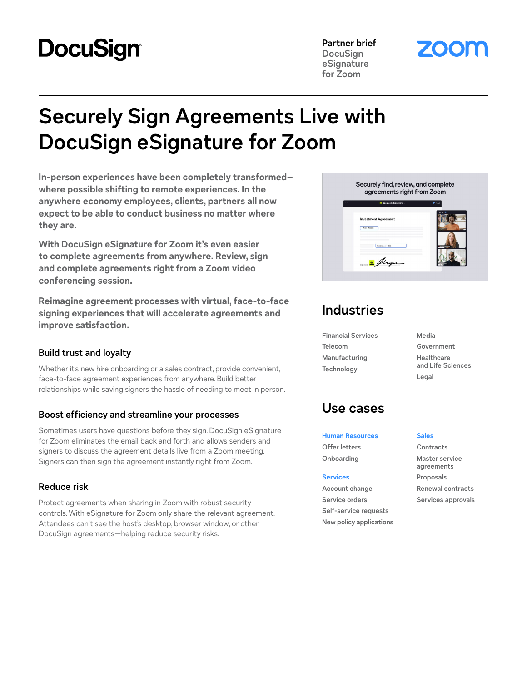# **DocuSign®**

**Partner brief DocuSign eSignature for Zoom**

# **Securely Sign Agreements Live with DocuSign eSignature for Zoom**

**In-person experiences have been completely transformed– where possible shifting to remote experiences. In the anywhere economy employees, clients, partners all now expect to be able to conduct business no matter where they are.** 

**With DocuSign eSignature for Zoom it's even easier to complete agreements from anywhere. Review, sign and complete agreements right from a Zoom video conferencing session.**

**Reimagine agreement processes with virtual, face-to-face signing experiences that will accelerate agreements and improve satisfaction.**

### **Build trust and loyalty**

Whether it's new hire onboarding or a sales contract, provide convenient, face-to-face agreement experiences from anywhere. Build better relationships while saving signers the hassle of needing to meet in person.

### **Boost efficiency and streamline your processes**

Sometimes users have questions before they sign. DocuSign eSignature for Zoom eliminates the email back and forth and allows senders and signers to discuss the agreement details live from a Zoom meeting. Signers can then sign the agreement instantly right from Zoom.

### **Reduce risk**

Protect agreements when sharing in Zoom with robust security controls. With eSignature for Zoom only share the relevant agreement. Attendees can't see the host's desktop, browser window, or other DocuSign agreements—helping reduce security risks.



# **Industries**

**Financial Services Telecom Manufacturing Technology** 

**Media Government**

**Healthcare and Life Sciences Legal**

## **Use cases**

**Human Resources Offer letters Onboarding**

**Services Account change Service orders Self-service requests New policy applications** **Sales**

**Contracts Master service agreements Proposals Renewal contracts Services approvals**